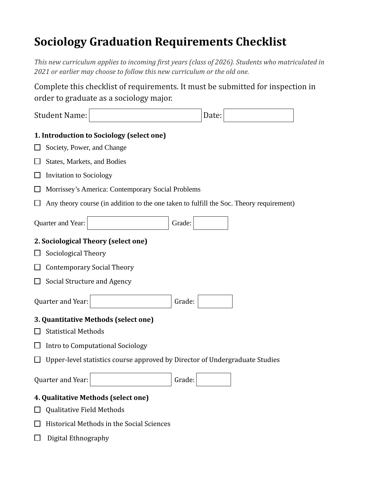## **Sociology Graduation Requirements Checklist**

*This new curriculum applies to incoming first years (class of 2026). Students who matriculated in 2021 or earlier may choose to follow this new curriculum or the old one.* 

Complete this checklist of requirements. It must be submitted for inspection in order to graduate as a sociology major.

| <b>Student Name:</b>                                                                    |                                                                             |        | Date: |  |  |  |  |
|-----------------------------------------------------------------------------------------|-----------------------------------------------------------------------------|--------|-------|--|--|--|--|
|                                                                                         | 1. Introduction to Sociology (select one)                                   |        |       |  |  |  |  |
|                                                                                         | Society, Power, and Change                                                  |        |       |  |  |  |  |
|                                                                                         | States, Markets, and Bodies                                                 |        |       |  |  |  |  |
|                                                                                         | <b>Invitation to Sociology</b>                                              |        |       |  |  |  |  |
| Morrissey's America: Contemporary Social Problems                                       |                                                                             |        |       |  |  |  |  |
| Any theory course (in addition to the one taken to fulfill the Soc. Theory requirement) |                                                                             |        |       |  |  |  |  |
| Quarter and Year:                                                                       |                                                                             | Grade: |       |  |  |  |  |
| 2. Sociological Theory (select one)                                                     |                                                                             |        |       |  |  |  |  |
| Sociological Theory                                                                     |                                                                             |        |       |  |  |  |  |
| <b>Contemporary Social Theory</b>                                                       |                                                                             |        |       |  |  |  |  |
|                                                                                         | Social Structure and Agency                                                 |        |       |  |  |  |  |
| Quarter and Year:                                                                       |                                                                             | Grade: |       |  |  |  |  |
| 3. Quantitative Methods (select one)                                                    |                                                                             |        |       |  |  |  |  |
| <b>Statistical Methods</b>                                                              |                                                                             |        |       |  |  |  |  |
| Intro to Computational Sociology                                                        |                                                                             |        |       |  |  |  |  |
|                                                                                         | Upper-level statistics course approved by Director of Undergraduate Studies |        |       |  |  |  |  |
| Quarter and Year:                                                                       |                                                                             | Grade: |       |  |  |  |  |
| 4. Qualitative Methods (select one)                                                     |                                                                             |        |       |  |  |  |  |
| Qualitative Field Methods                                                               |                                                                             |        |       |  |  |  |  |
| Historical Methods in the Social Sciences                                               |                                                                             |        |       |  |  |  |  |

 $\Box$  Digital Ethnography